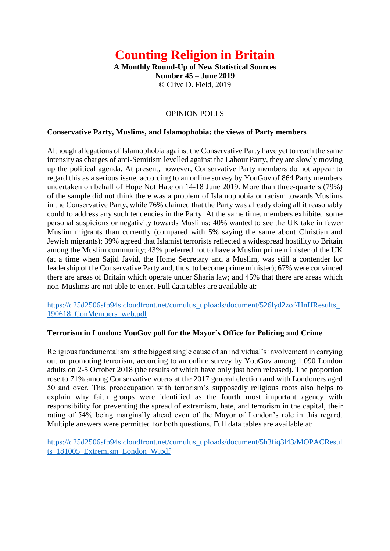# **Counting Religion in Britain**

**A Monthly Round-Up of New Statistical Sources Number 45 – June 2019** © Clive D. Field, 2019

#### OPINION POLLS

#### **Conservative Party, Muslims, and Islamophobia: the views of Party members**

Although allegations of Islamophobia against the Conservative Party have yet to reach the same intensity as charges of anti-Semitism levelled against the Labour Party, they are slowly moving up the political agenda. At present, however, Conservative Party members do not appear to regard this as a serious issue, according to an online survey by YouGov of 864 Party members undertaken on behalf of Hope Not Hate on 14-18 June 2019. More than three-quarters (79%) of the sample did not think there was a problem of Islamophobia or racism towards Muslims in the Conservative Party, while 76% claimed that the Party was already doing all it reasonably could to address any such tendencies in the Party. At the same time, members exhibited some personal suspicions or negativity towards Muslims: 40% wanted to see the UK take in fewer Muslim migrants than currently (compared with 5% saying the same about Christian and Jewish migrants); 39% agreed that Islamist terrorists reflected a widespread hostility to Britain among the Muslim community; 43% preferred not to have a Muslim prime minister of the UK (at a time when Sajid Javid, the Home Secretary and a Muslim, was still a contender for leadership of the Conservative Party and, thus, to become prime minister); 67% were convinced there are areas of Britain which operate under Sharia law; and 45% that there are areas which non-Muslims are not able to enter. Full data tables are available at:

[https://d25d2506sfb94s.cloudfront.net/cumulus\\_uploads/document/526lyd2zof/HnHResults\\_](https://d25d2506sfb94s.cloudfront.net/cumulus_uploads/document/526lyd2zof/HnHResults_190618_ConMembers_web.pdf) [190618\\_ConMembers\\_web.pdf](https://d25d2506sfb94s.cloudfront.net/cumulus_uploads/document/526lyd2zof/HnHResults_190618_ConMembers_web.pdf)

#### **Terrorism in London: YouGov poll for the Mayor's Office for Policing and Crime**

Religious fundamentalism is the biggest single cause of an individual's involvement in carrying out or promoting terrorism, according to an online survey by YouGov among 1,090 London adults on 2-5 October 2018 (the results of which have only just been released). The proportion rose to 71% among Conservative voters at the 2017 general election and with Londoners aged 50 and over. This preoccupation with terrorism's supposedly religious roots also helps to explain why faith groups were identified as the fourth most important agency with responsibility for preventing the spread of extremism, hate, and terrorism in the capital, their rating of 54% being marginally ahead even of the Mayor of London's role in this regard. Multiple answers were permitted for both questions. Full data tables are available at:

[https://d25d2506sfb94s.cloudfront.net/cumulus\\_uploads/document/5h3fiq3l43/MOPACResul](https://d25d2506sfb94s.cloudfront.net/cumulus_uploads/document/5h3fiq3l43/MOPACResults_181005_Extremism_London_W.pdf) [ts\\_181005\\_Extremism\\_London\\_W.pdf](https://d25d2506sfb94s.cloudfront.net/cumulus_uploads/document/5h3fiq3l43/MOPACResults_181005_Extremism_London_W.pdf)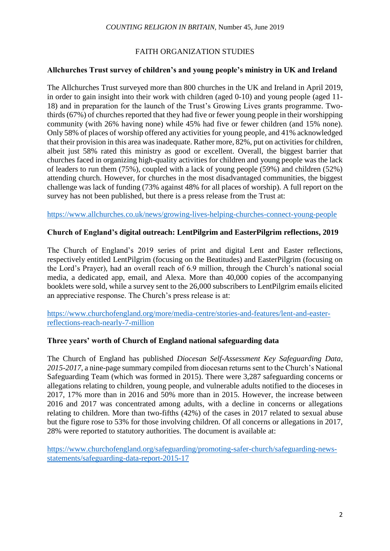#### FAITH ORGANIZATION STUDIES

#### **Allchurches Trust survey of children's and young people's ministry in UK and Ireland**

The Allchurches Trust surveyed more than 800 churches in the UK and Ireland in April 2019, in order to gain insight into their work with children (aged 0-10) and young people (aged 11- 18) and in preparation for the launch of the Trust's Growing Lives grants programme. Twothirds (67%) of churches reported that they had five or fewer young people in their worshipping community (with 26% having none) while 45% had five or fewer children (and 15% none). Only 58% of places of worship offered any activities for young people, and 41% acknowledged that their provision in this area was inadequate. Rather more, 82%, put on activities for children, albeit just 58% rated this ministry as good or excellent. Overall, the biggest barrier that churches faced in organizing high-quality activities for children and young people was the lack of leaders to run them (75%), coupled with a lack of young people (59%) and children (52%) attending church. However, for churches in the most disadvantaged communities, the biggest challenge was lack of funding (73% against 48% for all places of worship). A full report on the survey has not been published, but there is a press release from the Trust at:

<https://www.allchurches.co.uk/news/growing-lives-helping-churches-connect-young-people>

#### **Church of England's digital outreach: LentPilgrim and EasterPilgrim reflections, 2019**

The Church of England's 2019 series of print and digital Lent and Easter reflections, respectively entitled LentPilgrim (focusing on the Beatitudes) and EasterPilgrim (focusing on the Lord's Prayer), had an overall reach of 6.9 million, through the Church's national social media, a dedicated app, email, and Alexa. More than 40,000 copies of the accompanying booklets were sold, while a survey sent to the 26,000 subscribers to LentPilgrim emails elicited an appreciative response. The Church's press release is at:

[https://www.churchofengland.org/more/media-centre/stories-and-features/lent-and-easter](https://www.churchofengland.org/more/media-centre/stories-and-features/lent-and-easter-reflections-reach-nearly-7-million)[reflections-reach-nearly-7-million](https://www.churchofengland.org/more/media-centre/stories-and-features/lent-and-easter-reflections-reach-nearly-7-million)

## **Three years' worth of Church of England national safeguarding data**

The Church of England has published *Diocesan Self-Assessment Key Safeguarding Data, 2015-2017*, a nine-page summary compiled from diocesan returns sent to the Church's National Safeguarding Team (which was formed in 2015). There were 3,287 safeguarding concerns or allegations relating to children, young people, and vulnerable adults notified to the dioceses in 2017, 17% more than in 2016 and 50% more than in 2015. However, the increase between 2016 and 2017 was concentrated among adults, with a decline in concerns or allegations relating to children. More than two-fifths (42%) of the cases in 2017 related to sexual abuse but the figure rose to 53% for those involving children. Of all concerns or allegations in 2017, 28% were reported to statutory authorities. The document is available at:

[https://www.churchofengland.org/safeguarding/promoting-safer-church/safeguarding-news](https://www.churchofengland.org/safeguarding/promoting-safer-church/safeguarding-news-statements/safeguarding-data-report-2015-17)[statements/safeguarding-data-report-2015-17](https://www.churchofengland.org/safeguarding/promoting-safer-church/safeguarding-news-statements/safeguarding-data-report-2015-17)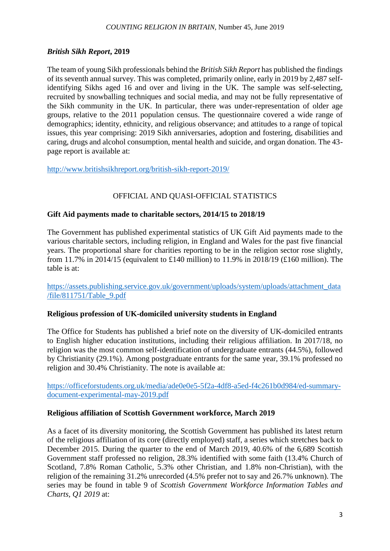# *British Sikh Report***, 2019**

The team of young Sikh professionals behind the *British Sikh Report* has published the findings of its seventh annual survey. This was completed, primarily online, early in 2019 by 2,487 selfidentifying Sikhs aged 16 and over and living in the UK. The sample was self-selecting, recruited by snowballing techniques and social media, and may not be fully representative of the Sikh community in the UK. In particular, there was under-representation of older age groups, relative to the 2011 population census. The questionnaire covered a wide range of demographics; identity, ethnicity, and religious observance; and attitudes to a range of topical issues, this year comprising: 2019 Sikh anniversaries, adoption and fostering, disabilities and caring, drugs and alcohol consumption, mental health and suicide, and organ donation. The 43 page report is available at:

<http://www.britishsikhreport.org/british-sikh-report-2019/>

# OFFICIAL AND QUASI-OFFICIAL STATISTICS

## **Gift Aid payments made to charitable sectors, 2014/15 to 2018/19**

The Government has published experimental statistics of UK Gift Aid payments made to the various charitable sectors, including religion, in England and Wales for the past five financial years. The proportional share for charities reporting to be in the religion sector rose slightly, from 11.7% in 2014/15 (equivalent to £140 million) to 11.9% in 2018/19 (£160 million). The table is at:

[https://assets.publishing.service.gov.uk/government/uploads/system/uploads/attachment\\_data](https://assets.publishing.service.gov.uk/government/uploads/system/uploads/attachment_data/file/811751/Table_9.pdf) [/file/811751/Table\\_9.pdf](https://assets.publishing.service.gov.uk/government/uploads/system/uploads/attachment_data/file/811751/Table_9.pdf)

## **Religious profession of UK-domiciled university students in England**

The Office for Students has published a brief note on the diversity of UK-domiciled entrants to English higher education institutions, including their religious affiliation. In 2017/18, no religion was the most common self-identification of undergraduate entrants (44.5%), followed by Christianity (29.1%). Among postgraduate entrants for the same year, 39.1% professed no religion and 30.4% Christianity. The note is available at:

[https://officeforstudents.org.uk/media/ade0e0e5-5f2a-4df8-a5ed-f4c261b0d984/ed-summary](https://officeforstudents.org.uk/media/ade0e0e5-5f2a-4df8-a5ed-f4c261b0d984/ed-summary-document-experimental-may-2019.pdf)[document-experimental-may-2019.pdf](https://officeforstudents.org.uk/media/ade0e0e5-5f2a-4df8-a5ed-f4c261b0d984/ed-summary-document-experimental-may-2019.pdf)

#### **Religious affiliation of Scottish Government workforce, March 2019**

As a facet of its diversity monitoring, the Scottish Government has published its latest return of the religious affiliation of its core (directly employed) staff, a series which stretches back to December 2015. During the quarter to the end of March 2019, 40.6% of the 6,689 Scottish Government staff professed no religion, 28.3% identified with some faith (13.4% Church of Scotland, 7.8% Roman Catholic, 5.3% other Christian, and 1.8% non-Christian), with the religion of the remaining 31.2% unrecorded (4.5% prefer not to say and 26.7% unknown). The series may be found in table 9 of *Scottish Government Workforce Information Tables and Charts, Q1 2019* at: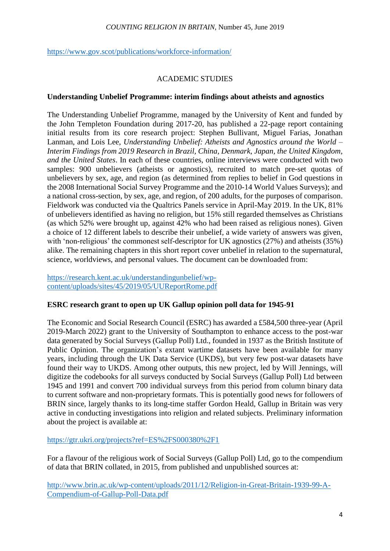<https://www.gov.scot/publications/workforce-information/>

## ACADEMIC STUDIES

#### **Understanding Unbelief Programme: interim findings about atheists and agnostics**

The Understanding Unbelief Programme, managed by the University of Kent and funded by the John Templeton Foundation during 2017-20, has published a 22-page report containing initial results from its core research project: Stephen Bullivant, Miguel Farias, Jonathan Lanman, and Lois Lee, *Understanding Unbelief: Atheists and Agnostics around the World – Interim Findings from 2019 Research in Brazil, China, Denmark, Japan, the United Kingdom, and the United States*. In each of these countries, online interviews were conducted with two samples: 900 unbelievers (atheists or agnostics), recruited to match pre-set quotas of unbelievers by sex, age, and region (as determined from replies to belief in God questions in the 2008 International Social Survey Programme and the 2010-14 World Values Surveys); and a national cross-section, by sex, age, and region, of 200 adults, for the purposes of comparison. Fieldwork was conducted via the Qualtrics Panels service in April-May 2019. In the UK, 81% of unbelievers identified as having no religion, but 15% still regarded themselves as Christians (as which 52% were brought up, against 42% who had been raised as religious nones). Given a choice of 12 different labels to describe their unbelief, a wide variety of answers was given, with 'non-religious' the commonest self-descriptor for UK agnostics (27%) and atheists (35%) alike. The remaining chapters in this short report cover unbelief in relation to the supernatural, science, worldviews, and personal values. The document can be downloaded from:

[https://research.kent.ac.uk/understandingunbelief/wp](https://research.kent.ac.uk/understandingunbelief/wp-content/uploads/sites/45/2019/05/UUReportRome.pdf)[content/uploads/sites/45/2019/05/UUReportRome.pdf](https://research.kent.ac.uk/understandingunbelief/wp-content/uploads/sites/45/2019/05/UUReportRome.pdf)

#### **ESRC research grant to open up UK Gallup opinion poll data for 1945-91**

The Economic and Social Research Council (ESRC) has awarded a £584,500 three-year (April 2019-March 2022) grant to the University of Southampton to enhance access to the post-war data generated by Social Surveys (Gallup Poll) Ltd., founded in 1937 as the British Institute of Public Opinion. The organization's extant wartime datasets have been available for many years, including through the UK Data Service (UKDS), but very few post-war datasets have found their way to UKDS. Among other outputs, this new project, led by Will Jennings, will digitize the codebooks for all surveys conducted by Social Surveys (Gallup Poll) Ltd between 1945 and 1991 and convert 700 individual surveys from this period from column binary data to current software and non-proprietary formats. This is potentially good news for followers of BRIN since, largely thanks to its long-time staffer Gordon Heald, Gallup in Britain was very active in conducting investigations into religion and related subjects. Preliminary information about the project is available at:

<https://gtr.ukri.org/projects?ref=ES%2FS000380%2F1>

For a flavour of the religious work of Social Surveys (Gallup Poll) Ltd, go to the compendium of data that BRIN collated, in 2015, from published and unpublished sources at:

[http://www.brin.ac.uk/wp-content/uploads/2011/12/Religion-in-Great-Britain-1939-99-A-](http://www.brin.ac.uk/wp-content/uploads/2011/12/Religion-in-Great-Britain-1939-99-A-Compendium-of-Gallup-Poll-Data.pdf)[Compendium-of-Gallup-Poll-Data.pdf](http://www.brin.ac.uk/wp-content/uploads/2011/12/Religion-in-Great-Britain-1939-99-A-Compendium-of-Gallup-Poll-Data.pdf)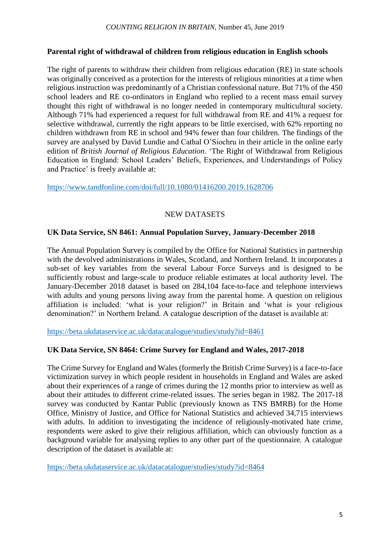## **Parental right of withdrawal of children from religious education in English schools**

The right of parents to withdraw their children from religious education (RE) in state schools was originally conceived as a protection for the interests of religious minorities at a time when religious instruction was predominantly of a Christian confessional nature. But 71% of the 450 school leaders and RE co-ordinators in England who replied to a recent mass email survey thought this right of withdrawal is no longer needed in contemporary multicultural society. Although 71% had experienced a request for full withdrawal from RE and 41% a request for selective withdrawal, currently the right appears to be little exercised, with 62% reporting no children withdrawn from RE in school and 94% fewer than four children. The findings of the survey are analysed by David Lundie and Cathal O'Siochru in their article in the online early edition of *British Journal of Religious Education*. 'The Right of Withdrawal from Religious Education in England: School Leaders' Beliefs, Experiences, and Understandings of Policy and Practice' is freely available at:

<https://www.tandfonline.com/doi/full/10.1080/01416200.2019.1628706>

## NEW DATASETS

## **UK Data Service, SN 8461: Annual Population Survey, January-December 2018**

The Annual Population Survey is compiled by the Office for National Statistics in partnership with the devolved administrations in Wales, Scotland, and Northern Ireland. It incorporates a sub-set of key variables from the several Labour Force Surveys and is designed to be sufficiently robust and large-scale to produce reliable estimates at local authority level. The January-December 2018 dataset is based on 284,104 face-to-face and telephone interviews with adults and young persons living away from the parental home. A question on religious affiliation is included: 'what is your religion?' in Britain and 'what is your religious denomination?' in Northern Ireland. A catalogue description of the dataset is available at:

<https://beta.ukdataservice.ac.uk/datacatalogue/studies/study?id=8461>

## **UK Data Service, SN 8464: Crime Survey for England and Wales, 2017-2018**

The Crime Survey for England and Wales (formerly the British Crime Survey) is a face-to-face victimization survey in which people resident in households in England and Wales are asked about their experiences of a range of crimes during the 12 months prior to interview as well as about their attitudes to different crime-related issues. The series began in 1982. The 2017-18 survey was conducted by Kantar Public (previously known as TNS BMRB) for the Home Office, Ministry of Justice, and Office for National Statistics and achieved 34,715 interviews with adults. In addition to investigating the incidence of religiously-motivated hate crime, respondents were asked to give their religious affiliation, which can obviously function as a background variable for analysing replies to any other part of the questionnaire. A catalogue description of the dataset is available at:

<https://beta.ukdataservice.ac.uk/datacatalogue/studies/study?id=8464>